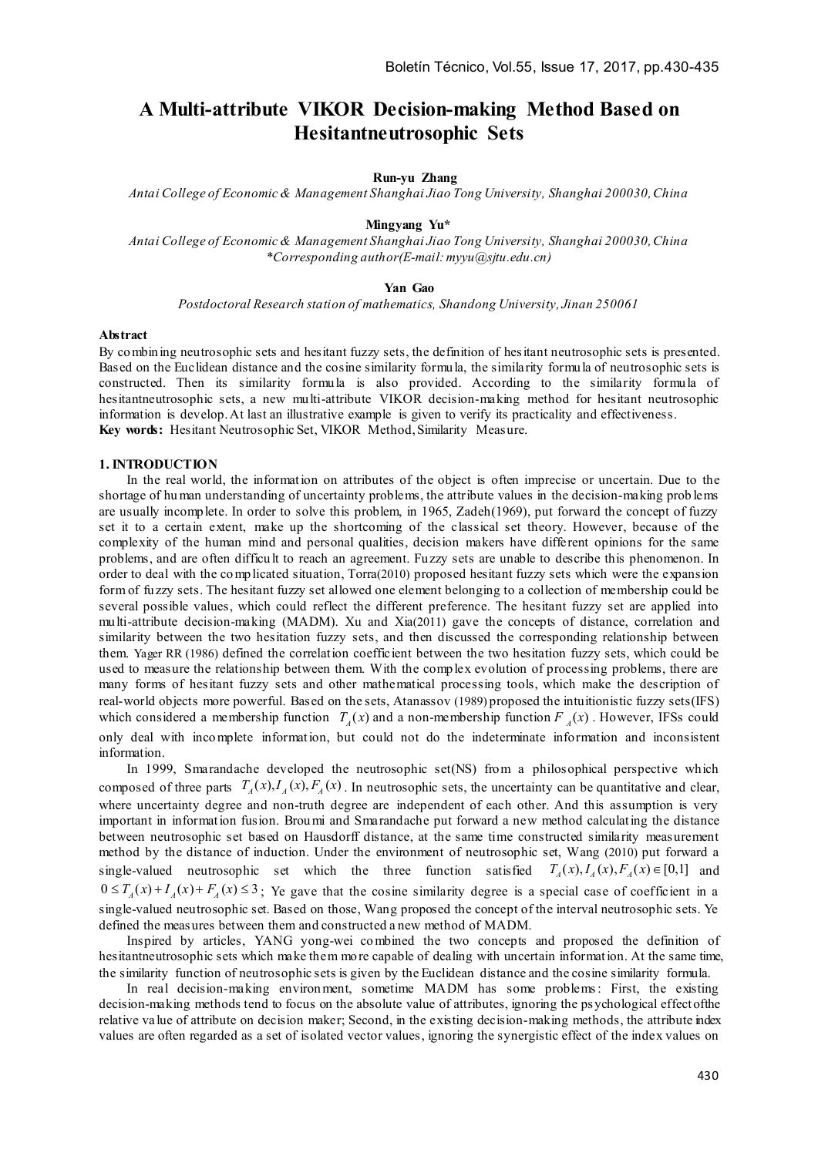# **A Multi-attribute VIKOR Decision-making Method Based on Hesitantneutrosophic Sets**

# **Run-yu Zhang**

*Antai College of Economic & Management Shanghai Jiao Tong University, Shanghai 200030,China*

#### **Mingyang Yu\***

*Antai College of Economic & Management Shanghai Jiao Tong University, Shanghai 200030, China \*Corresponding author(E-mail: myyu@sjtu.edu.cn)*

## **Yan Gao**

*Postdoctoral Research station of mathematics, Shandong University, Jinan 250061*

#### **Abstract**

By combining neutrosophic sets and hesitant fuzzy sets, the definition of hesitant neutrosophic sets is presented. Based on the Euclidean distance and the cosine similarity formula, the similarity formula of neutrosophic sets is constructed. Then its similarity formula is also provided. According to the similarity formula of hesitantneutrosophic sets, a new multi-attribute VIKOR decision-making method for hesitant neutrosophic information is develop. At last an illustrative example is given to verify its practicality and effectiveness. **Key words:** Hesitant Neutrosophic Set, VIKOR Method, Similarity Measure.

## **1. INTRODUCTION**

In the real world, the information on attributes of the object is often imprecise or uncertain. Due to the shortage of hu man understanding of uncertainty problems, the attribute values in the decision-making prob lems are usually incomplete. In order to solve this problem, in 1965, Zadeh(1969), put forward the concept of fuzzy set it to a certain extent, make up the shortcoming of the classical set theory. However, because of the complexity of the human mind and personal qualities, decision makers have different opinions for the same problems, and are often difficu lt to reach an agreement. Fuzzy sets are unable to describe this phenomenon. In order to deal with the co mplicated situation, Torra(2010) proposed hesitant fuzzy sets which were the expansion form of fuzzy sets. The hesitant fuzzy set allowed one element belonging to a collection of membership could be several possible values, which could reflect the different preference. The hesitant fuzzy set are applied into multi-attribute decision-making (MADM). Xu and Xia(2011) gave the concepts of distance, correlation and similarity between the two hesitation fuzzy sets, and then discussed the corresponding relationship between them. Yager RR (1986) defined the correlation coefficient between the two hesitation fuzzy sets, which could be used to measure the relationship between them. With the complex evolution of processing problems, there are many forms of hesitant fuzzy sets and other mathematical processing tools, which make the description of real-world objects more powerful. Based on the sets, Atanassov (1989) proposed the intuitionistic fuzzy sets(IFS) which considered a membership function  $T<sub>x</sub>(x)$  and a non-membership function  $F<sub>x</sub>(x)$ . However, IFSs could only deal with inco mplete information, but could not do the indeterminate information and inconsistent information.

In 1999, Smarandache developed the neutrosophic set(NS) from a philosophical perspective which composed of three parts  $T_A(x)$ ,  $T_A(x)$ ,  $F_A(x)$ . In neutrosophic sets, the uncertainty can be quantitative and clear, where uncertainty degree and non-truth degree are independent of each other. And this assumption is very important in information fusion. Brou mi and Smarandache put forward a new method calculating the distance between neutrosophic set based on Hausdorff distance, at the same time constructed similarity measurement method by the distance of induction. Under the environment of neutrosophic set, Wang (2010) put forward a single-valued neutrosophic set which the three function satisfied  $T_a(x)$ ,  $\overline{T}_a(x)$ ,  $\overline{T}_a(x) \in [0,1]$  and  $0 \leq T_A(x) + I_A(x) + F_A(x) \leq 3$ ; Ye gave that the cosine similarity degree is a special case of coefficient in a single-valued neutrosophic set. Based on those, Wang proposed the concept of the interval neutrosophic sets. Ye defined the measures between them and constructed a new method of MADM.

Inspired by articles, YANG yong-wei co mbined the two concepts and proposed the definition of hesitantneutrosophic sets which make them more capable of dealing with uncertain information. At the same time, the similarity function of neutrosophic sets is given by the Euclidean distance and the cosine similarity formula.

In real decision-making environment, sometime MADM has some problems: First, the existing decision-making methods tend to focus on the absolute value of attributes, ignoring the psychological effect of the relative va lue of attribute on decision maker; Second, in the existing decision-making methods, the attribute index values are often regarded as a set of isolated vector values, ignoring the synergistic effect of the index values on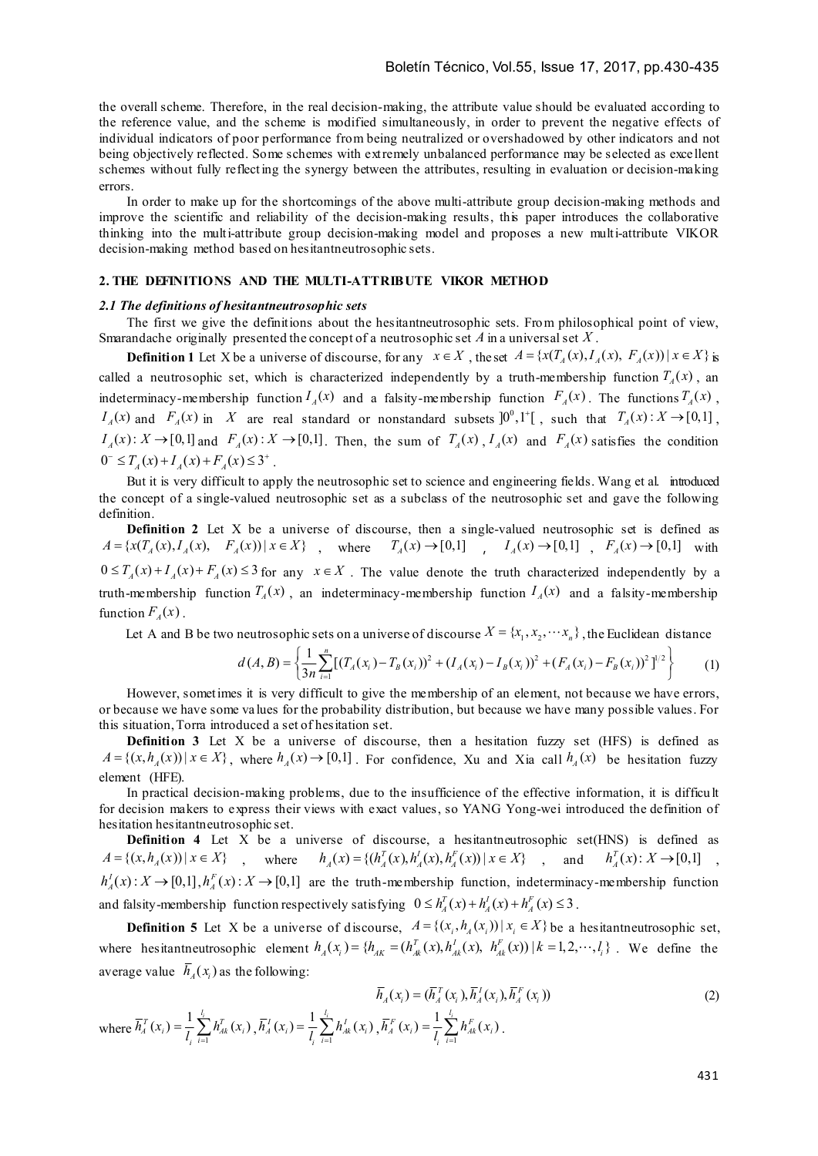the overall scheme. Therefore, in the real decision-making, the attribute value should be evaluated according to the reference value, and the scheme is modified simultaneously, in order to prevent the negative effects of individual indicators of poor performance from being neutralized or overshadowed by other indicators and not being objectively reflected. Some schemes with extremely unbalanced performance may be selected as excellent schemes without fully reflect ing the synergy between the attributes, resulting in evaluation or decision-making errors.

In order to make up for the shortcomings of the above multi-attribute group decision-making methods and improve the scientific and reliability of the decision-making results, this paper introduces the collaborative thinking into the multi-attribute group decision-making model and proposes a new multi-attribute VIKOR decision-making method based on hesitantneutrosophic sets.

# **2. THE DEFINITIONS AND THE MULTI-ATTRIBUTE VIKOR METHOD**

# *2.1 The definitions of hesitantneutrosophic sets*

where  $h_i^T(x_i) = \frac{1}{l_i} \sum_{i=1}^{l_i}$ 

 $J_A^T(x_i) = \frac{1}{l_i} \sum_{i=1}^{l_i} h_{Ak}^T(x_i)$ 

The first we give the definitions about the hesitantneutrosophic sets. From philosophical point of view, Smarandache originally presented the concept of a neutrosophic set *A* in a universal set *X* .

**Definition 1** Let X be a universe of discourse, for any  $x \in X$ , the set  $A = \{x(T_A(x), I_A(x), F_A(x)) | x \in X\}$  is called a neutrosophic set, which is characterized independently by a truth-membership function  $T_A(x)$ , an indeterminacy-membership function  $I_A(x)$  and a falsity-membership function  $F_A(x)$ . The functions  $T_A(x)$ ,  $I_A(x)$  and  $F_A(x)$  in X are real standard or nonstandard subsets  $]0^0,1^+[$ , such that  $T_A(x):X\to[0,1]$ ,  $I_A(x): X \to [0,1]$  and  $F_A(x): X \to [0,1]$ . Then, the sum of  $T_A(x)$ ,  $I_A(x)$  and  $F_A(x)$  satisfies the condition  $0^{-} \leq T_a(x) + I_a(x) + F_a(x) \leq 3^{+}$ .

But it is very difficult to apply the neutrosophic set to science and engineering fields. Wang et al. introduced the concept of a single-valued neutrosophic set as a subclass of the neutrosophic set and gave the following definition.

**Definition 2** Let X be a universe of discourse, then a single-valued neutrosophic set is defined as  $A = \{x(T_A(x), I_A(x), F_A(x)) | x \in X\}$ , where  $T_A(x) \to [0,1]$ ,  $I_A(x) \to [0,1]$ ,  $F_A(x) \to [0,1]$  with  $0 \leq T_a(x) + T_a(x) + F_a(x) \leq 3$  for any  $x \in X$ . The value denote the truth characterized independently by a truth-membership function  $T_A(x)$ , an indeterminacy-membership function  $I_A(x)$  and a falsity-membership function  $F_a(x)$ .

Let A and B be two neutrosophic sets on a universe of discourse  $X = \{x_1, x_2, \dots, x_n\}$ , the Euclidean distance

$$
d(A, B) = \left\{ \frac{1}{3n} \sum_{i=1}^{n} \left[ \left( T_A(x_i) - T_B(x_i) \right)^2 + \left( I_A(x_i) - I_B(x_i) \right)^2 + \left( F_A(x_i) - F_B(x_i) \right)^2 \right]^{1/2} \right\}
$$
(1)

However, sometimes it is very difficult to give the membership of an element, not because we have errors, or because we have some va lues for the probability distribution, but because we have many possible values. For this situation, Torra introduced a set of hesitation set.

**Definition 3** Let X be a universe of discourse, then a hesitation fuzzy set (HFS) is defined as  $A = \{(x, h<sub>a</sub>(x)) | x \in X\}$ , where  $h<sub>a</sub>(x) \rightarrow [0,1]$ . For confidence, Xu and Xia call  $h<sub>a</sub>(x)$  be hesitation fuzzy element (HFE).

In practical decision-making problems, due to the insufficience of the effective information, it is difficult for decision makers to express their views with exact values, so YANG Yong-wei introduced the definition of hesitation hesitantneutrosophic set.

**Definition 4** Let X be a universe of discourse, a hesitantneutrosophic set(HNS) is defined as  $A = \{(x, h_A(x)) | x \in X\}$ , where  $h_A(x) = \{(h_A^T(x), h_A^T(x), h_A^F(x)) | x \in X\}$ , and  $h_A^T(x): X \to [0,1]$ ,  $h_A^I(x)$ :  $X \to [0,1], h_A^F(x)$ :  $X \to [0,1]$  are the truth-membership function, indeterminacy-membership function and falsity-membership function respectively satisfying  $0 \le h_A^T(x) + h_A^T(x) + h_A^F(x) \le 3$ .

**Definition 5** Let X be a universe of discourse,  $A = \{(x_i, h_i(x_i)) | x_i \in X\}$  be a hesitantneutrosophic set, where hesitantneutrosophic element  $h_A(x_i) = \{ h_{AK}^T = (h_{Ak}^T(x), h_{Ak}^T(x), h_{Ak}^F(x)) \mid k = 1, 2, \cdots, l_i \}$ . We define the average value  $\overline{h}_i(x)$  as the following:

$$
\overline{h}_A^T(x_i) = (\overline{h}_A^T(x_i), \overline{h}_A^T(x_i), \overline{h}_A^T(x_i))
$$
\n
$$
\overline{h}_A^T(x_i) = \frac{1}{l_i} \sum_{i=1}^{l_i} h_{Ak}^T(x_i), \overline{h}_A^T(x_i) = \frac{1}{l_i} \sum_{i=1}^{l_i} h_{Ak}^T(x_i), \overline{h}_A^F(x_i) = \frac{1}{l_i} \sum_{i=1}^{l_i} h_{Ak}^F(x_i).
$$
\n(2)

431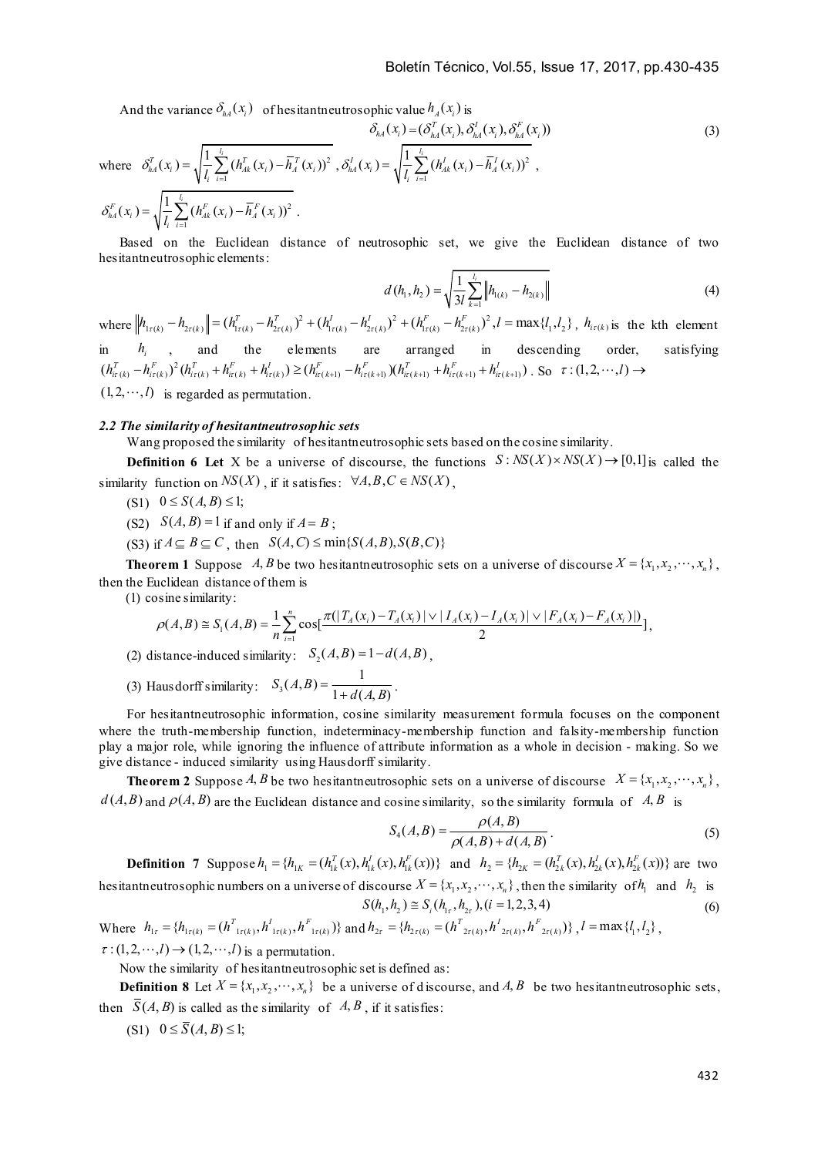And the variance  $\delta_{h}$   $(x_i)$  of hesitantneutrosophic value  $h$ <sub> $f$ </sub> $(x_i)$  is

$$
\delta_{hA}(x_i) = (\delta_{hA}^T(x_i), \delta_{hA}^T(x_i), \delta_{hA}^T(x_i))
$$
\n
$$
\delta_{hA}(x_i) = \sqrt{\frac{1}{l_i} \sum_{i=1}^{l_i} (h_{Ak}^T(x_i) - \overline{h}_A^T(x_i))^2}, \delta_{hA}^T(x_i) = \sqrt{\frac{1}{l_i} \sum_{i=1}^{l_i} (h_{Ak}^T(x_i) - \overline{h}_A^T(x_i))^2},
$$
\n
$$
\delta_{hA}^F(x_i) = \sqrt{\frac{1}{l_i} \sum_{i=1}^{l_i} (h_{Ak}^F(x_i) - \overline{h}_A^F(x_i))^2}.
$$
\n(3)

 Based on the Euclidean distance of neutrosophic set, we give the Euclidean distance of two hesitantneutrosophic elements:

$$
d(h_1, h_2) = \sqrt{\frac{1}{3l} \sum_{k=1}^{l_i} \left\| h_{1(k)} - h_{2(k)} \right\|} \tag{4}
$$

where  $\left\| h_{1\tau(k)} - h_{2\tau(k)} \right\| = (h_{1\tau(k)}^T - h_{2\tau(k)}^T)^2 + (h_{1\tau(k)}^I - h_{2\tau(k)}^I)^2 + (h_{1\tau(k)}^F - h_{2\tau(k)}^F)^2$ ,  $l = \max\{l_1, l_2\}$ ,  $h_{i\tau(k)}$  is the kth element in  $h_i$ , and the elements are arranged in descending order, satisfying  $(h_{it(k)}^T - h_{it(k)}^F)^2 (h_{it(k)}^T + h_{it(k)}^F + h_{it(k)}^I) \geq (h_{it(k+1)}^F - h_{it(k+1)}^F)(h_{it(k+1)}^T + h_{it(k+1)}^F + h_{it(k+1)}^I)$ . So  $\tau : (1, 2, \dots, l) \rightarrow$  $(1, 2, \dots, l)$  is regarded as permutation.

#### *2.2 The similarity of hesitantneutrosophic sets*

Wang proposed the similarity of hesitantneutrosophic sets based on the cosine similarity.

**Definition 6 Let** X be a universe of discourse, the functions  $S: NS(X) \times NS(X) \rightarrow [0,1]$  is called the similarity function on  $NS(X)$ , if it satisfies:  $\forall A, B, C \in NS(X)$ ,

- (S1)  $0 \le S(A, B) \le 1;$
- (S2)  $S(A, B) = 1$  if and only if  $A = B$ ;
- (S3) if  $A \subseteq B \subseteq C$ , then  $S(A, C) \le \min\{S(A, B), S(B, C)\}$

**Theorem 1** Suppose *A, B* be two hesitantneutrosophic sets on a universe of discourse  $X = \{x_1, x_2, \dots, x_n\}$ , then the Euclidean distance of them is

(1) cosine similarity:

$$
\rho(A,B) \cong S_1(A,B) = \frac{1}{n} \sum_{i=1}^n \cos\left[\frac{\pi(|T_A(x_i) - T_A(x_i)| \vee |T_A(x_i) - T_A(x_i)| \vee |F_A(x_i) - F_A(x_i)|)}{2}\right],
$$

(2) distance-induced similarity:  $S_2(A, B) = 1 - d(A, B)$ ,

(3) Hausdorff similarity:  $S_3(A, B) = \frac{1}{1 + d(A, B)}$ .

For hesitantneutrosophic information, cosine similarity measurement formula focuses on the component where the truth-membership function, indeterminacy-membership function and falsity-membership function play a major role, while ignoring the influence of attribute information as a whole in decision - making. So we give distance - induced similarity using Hausdorff similarity.

**Theorem 2** Suppose *A*, *B* be two hesitantneutrosophic sets on a universe of discourse  $X = \{x_1, x_2, \dots, x_n\}$ ,  $d(A, B)$  and  $\rho(A, B)$  are the Euclidean distance and cosine similarity, so the similarity formula of *A, B* is

$$
S_4(A, B) = \frac{\rho(A, B)}{\rho(A, B) + d(A, B)}.
$$
 (5)

**Definition 7** Suppose  $h_1 = \{h_{1K} = (h_{1K}^T(x), h_{1K}^T(x)), h_{1K}^F(x)\}\$  and  $h_2 = \{h_{2K} = (h_{2K}^T(x), h_{2K}^T(x)), h_{2K}^F(x)\}\$  are two hesitantneutrosophic numbers on a universe of discourse  $X = \{x_1, x_2, \dots, x_n\}$ , then the similarity of  $h_1$  and  $h_2$  is  $S(h_1, h_2) \cong S_i(h_{1,2}, h_{2,3}), (i = 1, 2, 3, 4)$  (6)

Where  $h_{1\tau} = \{h_{1\tau(k)} = (h_{1\tau(k)}^T, h_{1\tau(k)}^T, h_{1\tau(k)}^F)\}$  and  $h_{2\tau} = \{h_{2\tau(k)} = (h_{2\tau(k)}^T, h_{2\tau(k)}^F, h_{2\tau(k)}^F)\}$ ,  $l = \max\{l, l, l\}$ ,  $\tau$ : (1, 2,  $\cdots$ , l)  $\rightarrow$  (1, 2,  $\cdots$ , l) is a permutation.

Now the similarity of hesitantneutrosophic set is defined as:

**Definition 8** Let  $X = \{x_1, x_2, \dots, x_n\}$  be a universe of discourse, and A, B, be two hesitantneutrosophic sets, then  $\overline{S}(A, B)$  is called as the similarity of  $A, B$ , if it satisfies:

 $(S1)$   $0 \leq \overline{S}(A, B) \leq 1$ ;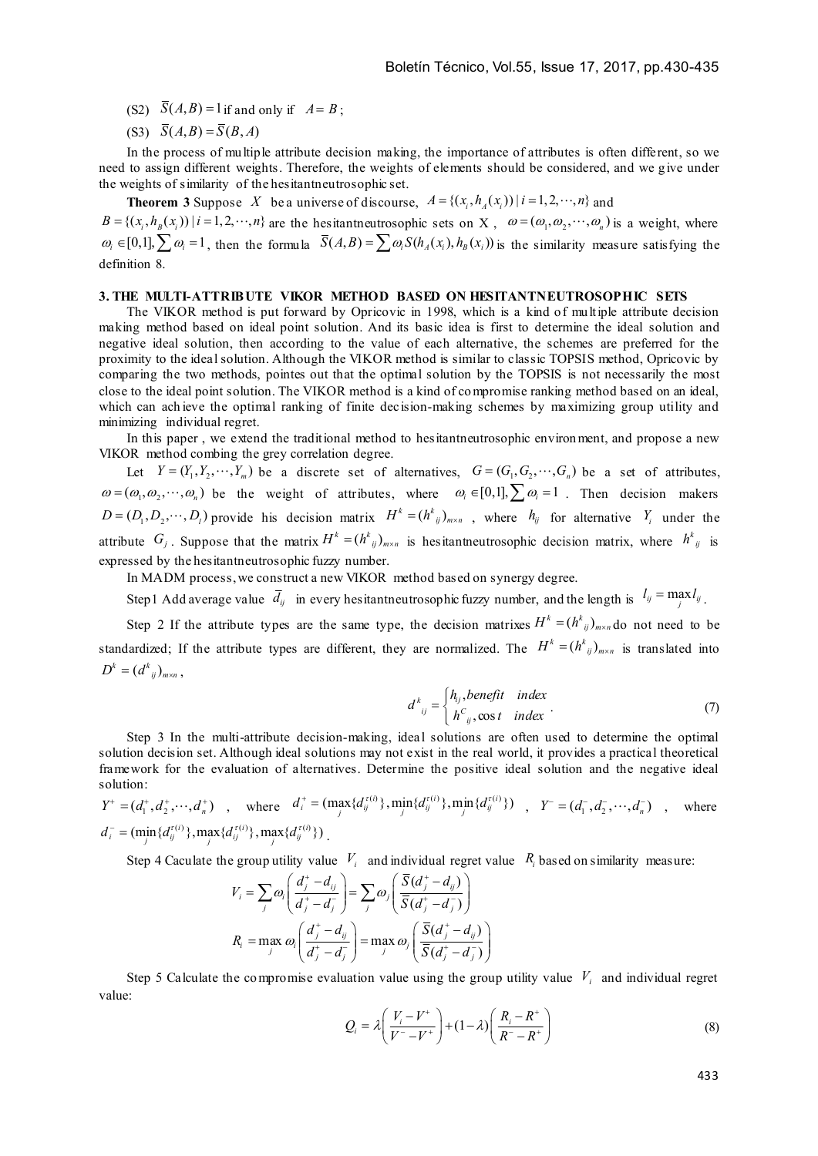- (S2)  $\overline{S}(A, B) = 1$  if and only if  $A = B$ ;
- $(S3)$   $\overline{S}(A,B) = \overline{S}(B,A)$

In the process of multiple attribute decision making, the importance of attributes is often different, so we need to assign different weights. Therefore, the weights of elements should be considered, and we give under the weights of similarity of the hesitantneutrosophic set.

**Theorem 3** Suppose *X* be a universe of discourse,  $A = \{(x_i, h_A(x_i)) | i = 1, 2, \dots, n\}$  and

 ${B} = \{ (x_i, h_0(x_i)) | i = 1, 2, \dots, n \}$  are the hesitant neutrosophic sets on X,  $\omega = (\omega_1, \omega_2, \dots, \omega_n)$  is a weight, where  $\omega_i \in [0,1], \sum_j \omega_i = 1$ , then the formula  $\overline{S}(A,B) = \sum_j \omega_i S(h_A(x_i), h_B(x_i))$  is the similarity measure satisfying the definition 8.

#### **3. THE MULTI-ATTRIBUTE VIKOR METHOD BASED ON HESITANTNEUTROSOPHIC SETS**

The VIKOR method is put forward by Opricovic in 1998, which is a kind of multiple attribute decision making method based on ideal point solution. And its basic idea is first to determine the ideal solution and negative ideal solution, then according to the value of each alternative, the schemes are preferred for the proximity to the ideal solution. Although the VIKOR method is similar to classic TOPSIS method, Opricovic by comparing the two methods, pointes out that the optimal solution by the TOPSIS is not necessarily the most close to the ideal point solution. The VIKOR method is a kind of co mpromise ranking method based on an ideal, which can ach ieve the optimal ranking of finite decision-making schemes by maximizing group utility and minimizing individual regret.

In this paper , we extend the traditional method to hesitantneutrosophic environ ment, and propose a new VIKOR method combing the grey correlation degree.

Let  $Y = (Y_1, Y_2, \dots, Y_m)$  be a discrete set of alternatives,  $G = (G_1, G_2, \dots, G_n)$  be a set of attributes,  $\omega = (\omega_1, \omega_2, \dots, \omega_n)$  be the weight of attributes, where  $\omega_i \in [0,1], \sum \omega_i = 1$ . Then decision makers  $D = (D_1, D_2, \dots, D_l)$  provide his decision matrix  $H^k = (h^k_{ij})_{m \times n}$ , where  $h_{ij}$  for alternative  $Y_i$  under the attribute  $G_j$ . Suppose that the matrix  $H^k = (h^k_{ij})_{m \times n}$  is hesitantneutrosophic decision matrix, where  $h^k_{ij}$  is expressed by the hesitantneutrosophic fuzzy number.

In MADM process, we construct a new VIKOR method based on synergy degree.

Step 1 Add average value  $\bar{d}_{ij}$  in every hesitantneutrosophic fuzzy number, and the length is  $l_{ij} = \max_j l_{ij}$ .

Step 2 If the attribute types are the same type, the decision matrixes  $H^k = (h^k_{ij})_{m \times n}$  do not need to be standardized; If the attribute types are different, they are normalized. The  $H^k = (h^k_{ij})_{m \times n}$  is translated into  $D^{k} = (d^{k}_{ii})_{m \times n}$ ,

$$
d^{k}_{ij} = \begin{cases} h_{ij}, \text{benefit} & \text{index} \\ h^{C}_{ij}, \text{cos } t & \text{index} \end{cases} \tag{7}
$$

Step 3 In the multi-attribute decision-making, ideal solutions are often used to determine the optimal solution decision set. Although ideal solutions may not exist in the real world, it provides a practical theoretical framework for the evaluation of alternatives. Determine the positive ideal solution and the negative ideal solution:

 $Y^+ = (d_1^+, d_2^+, \dots, d_n^+)$ , where  $d_i^+ = (\max_j \{d_i^{\tau(i)}\}, \min_j \{d_j^{\tau(i)}\}, \min_j \{d_j^{\tau(i)}\})$ ,  $Y^- = (d_1^-, d_2^-, \dots, d_n^-)$ , where  $d_i^- = (\min_j \{ d_{ij}^{\tau(i)} \}, \max_j \{ d_{ij}^{\tau(i)} \}, \max_j \{ d_{ij}^{\tau(i)} \})$ 

Step 4 Caculate the group utility value  $V_i$  and individual regret value  $R_i$  based on similarity measure:

$$
V_i = \sum_j \omega_i \left( \frac{d_j^+ - d_{ij}}{d_j^+ - d_j^-} \right) = \sum_j \omega_j \left( \frac{\overline{S}(d_j^+ - d_{ij})}{\overline{S}(d_j^+ - d_j^-)} \right)
$$
  

$$
R_i = \max_j \omega_i \left( \frac{d_j^+ - d_{ij}}{d_j^+ - d_j^-} \right) = \max_j \omega_j \left( \frac{\overline{S}(d_j^+ - d_{ij})}{\overline{S}(d_j^+ - d_j^-)} \right)
$$

Step 5 Calculate the compromise evaluation value using the group utility value  $V_i$  and individual regret value:

$$
Q_{i} = \lambda \left( \frac{V_{i} - V^{+}}{V^{-} - V^{+}} \right) + (1 - \lambda) \left( \frac{R_{i} - R^{+}}{R^{-} - R^{+}} \right)
$$
(8)

433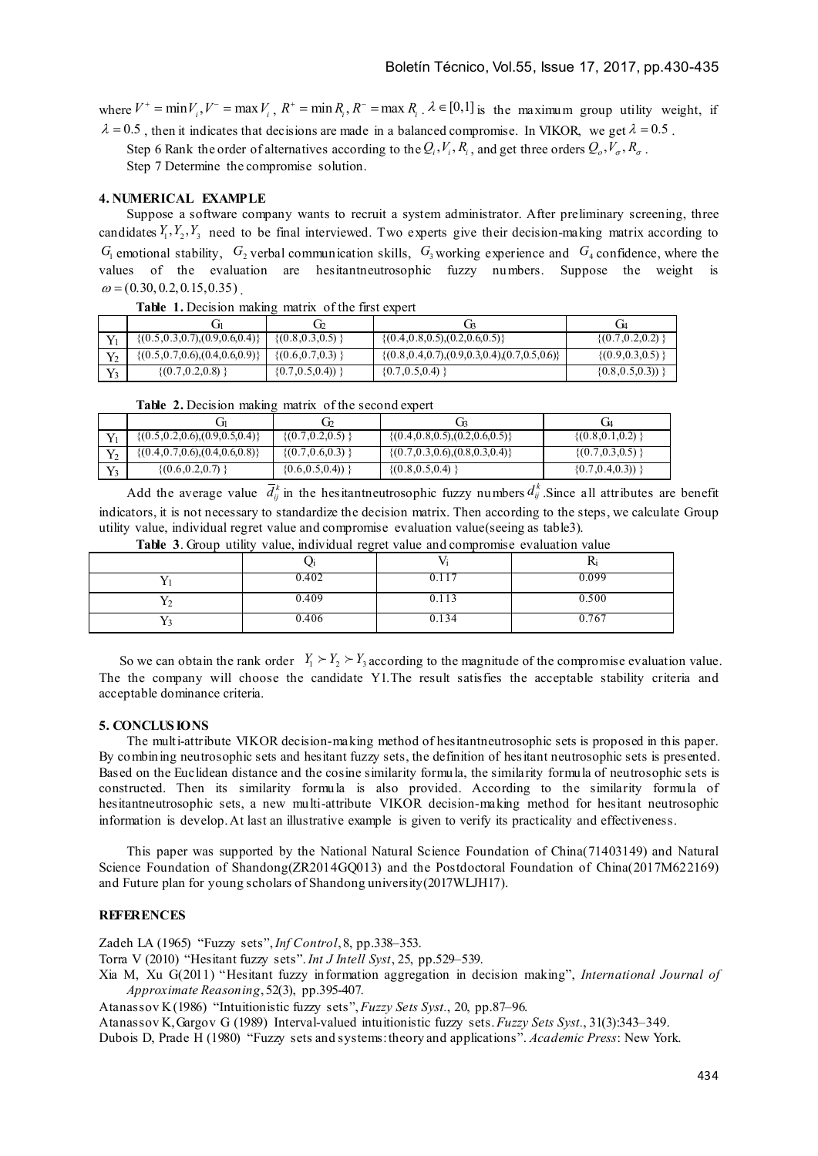where  $V^+ = \min V_i$ ,  $V^- = \max V_i$ ,  $R^+ = \min R_i$ ,  $R^- = \max R_i$ .  $\lambda \in [0,1]$  is the maximum group utility weight, if  $\lambda = 0.5$ , then it indicates that decisions are made in a balanced compromise. In VIKOR, we get  $\lambda = 0.5$ .

Step 6 Rank the order of alternatives according to the  $Q_i, V_i, R_i$ , and get three orders  $Q_o, V_o, R_a$ .

Step 7 Determine the compromise solution.

# **4. NUMERICAL EXAMPLE**

Suppose a software company wants to recruit a system administrator. After preliminary screening, three candidates  $Y_1, Y_2, Y_3$  need to be final interviewed. Two experts give their decision-making matrix according to  $G_1$  emotional stability,  $G_2$  verbal communication skills,  $G_3$  working experience and  $G_4$  confidence, where the values of the evaluation are hesitantneutrosophic fuzzy numbers. Suppose the weight is  $\omega$  = (0.30, 0.2, 0.15, 0.35).

|       | $\{(0.5, 0.3, 0.7), (0.9, 0.6, 0.4)\}\$ | $\{(0.8, 0.3, 0.5)\}$ | $\{(0.4, 0.8, 0.5), (0.2, 0.6, 0.5)\}\$                 | $\{(0.7, 0.2, 0.2)\}$ |
|-------|-----------------------------------------|-----------------------|---------------------------------------------------------|-----------------------|
| $Y_2$ | $\{(0.5, 0.7, 0.6), (0.4, 0.6, 0.9)\}$  | $\{(0.6, 0.7, 0.3)\}$ | $\{(0.8, 0.4, 0.7), (0.9, 0.3, 0.4), (0.7, 0.5, 0.6)\}$ | $\{(0.9, 0.3, 0.5)\}$ |
| $Y_3$ | $\{(0.7, 0.2, 0.8)\}$                   | $\{0.7, 0.5, 0.4)\}\$ | $\{0.7, 0.5, 0.4\}$                                     | (0.8, 0.5, 0.3))      |

**Table 1.** Decision making matrix of the first expert

|  | Table 2. Decision making matrix of the second expert |  |  |  |  |  |
|--|------------------------------------------------------|--|--|--|--|--|
|--|------------------------------------------------------|--|--|--|--|--|

|       |                                         | ൸                      |                                         |                        |
|-------|-----------------------------------------|------------------------|-----------------------------------------|------------------------|
|       | $\{(0.5, 0.2, 0.6), (0.9, 0.5, 0.4)\}\$ | $\{(0.7, 0.2, 0.5)\}\$ | $\{(0.4, 0.8, 0.5), (0.2, 0.6, 0.5)\}\$ | $\{(0.8, 0.1, 0.2)\}$  |
|       | $\{(0.4, 0.7, 0.6), (0.4, 0.6, 0.8)\}\$ | $\{(0.7, 0.6, 0.3)\}$  | $\{(0.7, 0.3, 0.6), (0.8, 0.3, 0.4)\}\$ | $\{(0.7, 0.3, 0.5)\}\$ |
| $Y_3$ | $\{(0.6, 0.2, 0.7)\}$                   | (0.6, 0.5, 0.4))       | $\{(0.8, 0.5, 0.4)\}$                   | (0.7, 0.4, 0.3))       |

Add the average value  $\overline{d}_i^k$  in the hesitantneutrosophic fuzzy numbers  $d_i^k$ . Since all attributes are benefit indicators, it is not necessary to standardize the decision matrix. Then according to the steps, we calculate Group utility value, individual regret value and compromise evaluation value(seeing as table3).

|       |           | ĸ     |
|-------|-----------|-------|
| 0.402 | ∪.⊥<br>л. | 0.099 |
| 0.409 | 0.113     | 0.500 |
| 0.406 | 0.134     | 0.767 |

**Table 3**. Group utility value, individual regret value and compromise evaluation value

So we can obtain the rank order  $Y_1 \geq Y_2 \geq Y_3$  according to the magnitude of the compromise evaluation value. The the company will choose the candidate Y1.The result satisfies the acceptable stability criteria and acceptable dominance criteria.

#### **5. CONCLUS IONS**

The multi-attribute VIKOR decision-making method of hesitantneutrosophic sets is proposed in this paper. By combining neutrosophic sets and hesitant fuzzy sets, the definition of hesitant neutrosophic sets is presented. Based on the Euclidean distance and the cosine similarity formula, the similarity formula of neutrosophic sets is constructed. Then its similarity formula is also provided. According to the similarity formula of hesitantneutrosophic sets, a new multi-attribute VIKOR decision-making method for hesitant neutrosophic information is develop.At last an illustrative example is given to verify its practicality and effectiveness.

This paper was supported by the National Natural Science Foundation of China(71403149) and Natural Science Foundation of Shandong(ZR2014GO013) and the Postdoctoral Foundation of China(2017M622169) and Future plan for young scholars of Shandong university(2017WLJH17).

# **REFERENCES**

Zadeh LA (1965) "Fuzzy sets",*Inf Control*, 8, pp.338–353.

Torra V (2010) "Hesitant fuzzy sets".*Int J Intell Syst*, 25, pp.529–539.

Xia M, Xu G(2011) "Hesitant fuzzy information aggregation in decision making", *International Journal of Approximate Reasoning*, 52(3), pp.395-407.

Atanassov K (1986) "Intuitionistic fuzzy sets",*Fuzzy Sets Syst.*, 20, pp.87–96.

Atanassov K, Gargov G (1989) Interval-valued intuitionistic fuzzy sets. *Fuzzy Sets Syst.*, 31(3):343–349.

Dubois D, Prade H (1980) "Fuzzy sets and systems: theory and applications". *Academic Press*: New York.